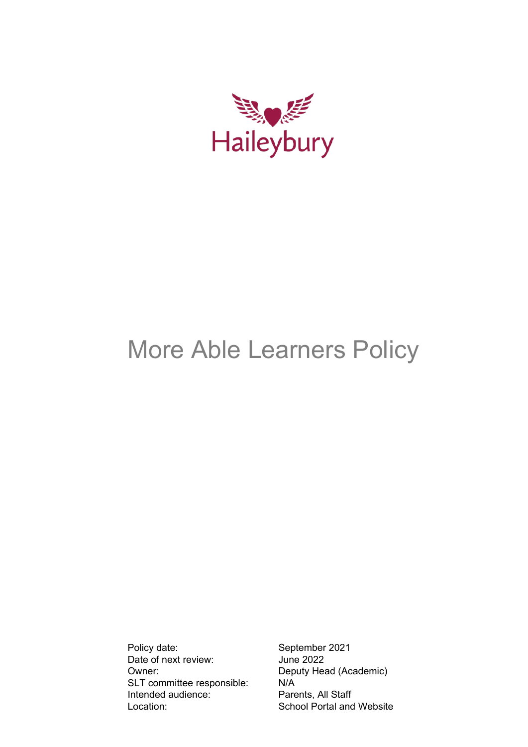

# More Able Learners Policy

Policy date: September 2021 Date of next review: June 2022 Owner: Deputy Head (Academic) SLT committee responsible: <br>
Intended audience: Parents, All Staff Intended audience: Location: School Portal and Website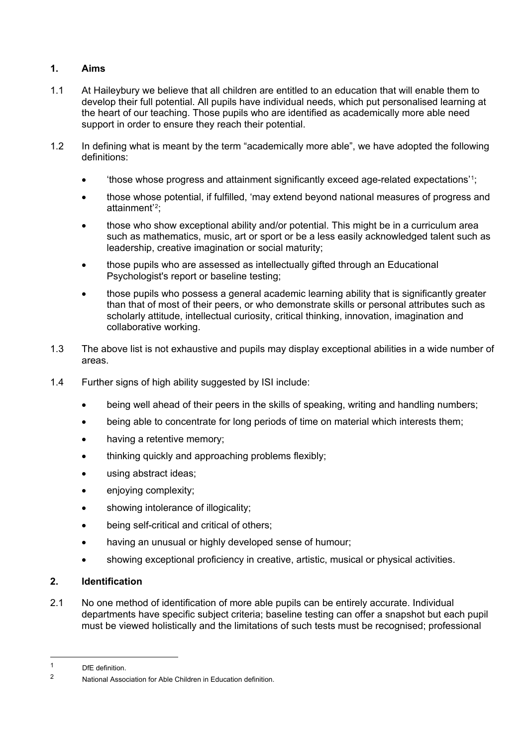## **1. Aims**

- 1.1 At Haileybury we believe that all children are entitled to an education that will enable them to develop their full potential. All pupils have individual needs, which put personalised learning at the heart of our teaching. Those pupils who are identified as academically more able need support in order to ensure they reach their potential.
- 1.2 In defining what is meant by the term "academically more able", we have adopted the following definitions:
	- 'those whose progress and attainment significantly exceed age-related expectations'<sup>1</sup>;
	- those whose potential, if fulfilled, 'may extend beyond national measures of progress and attainment'[2](#page-1-1);
	- those who show exceptional ability and/or potential. This might be in a curriculum area such as mathematics, music, art or sport or be a less easily acknowledged talent such as leadership, creative imagination or social maturity;
	- those pupils who are assessed as intellectually gifted through an Educational Psychologist's report or baseline testing;
	- those pupils who possess a general academic learning ability that is significantly greater than that of most of their peers, or who demonstrate skills or personal attributes such as scholarly attitude, intellectual curiosity, critical thinking, innovation, imagination and collaborative working.
- 1.3 The above list is not exhaustive and pupils may display exceptional abilities in a wide number of areas.
- 1.4 Further signs of high ability suggested by ISI include:
	- being well ahead of their peers in the skills of speaking, writing and handling numbers;
	- being able to concentrate for long periods of time on material which interests them;
	- having a retentive memory;
	- thinking quickly and approaching problems flexibly;
	- using abstract ideas;
	- enjoying complexity;
	- showing intolerance of illogicality;
	- being self-critical and critical of others:
	- having an unusual or highly developed sense of humour;
	- showing exceptional proficiency in creative, artistic, musical or physical activities.

#### **2. Identification**

2.1 No one method of identification of more able pupils can be entirely accurate. Individual departments have specific subject criteria; baseline testing can offer a snapshot but each pupil must be viewed holistically and the limitations of such tests must be recognised; professional

<span id="page-1-0"></span><sup>1</sup> DfE definition.<br>2 Metianal Assoc

<span id="page-1-1"></span><sup>2</sup> National Association for Able Children in Education definition.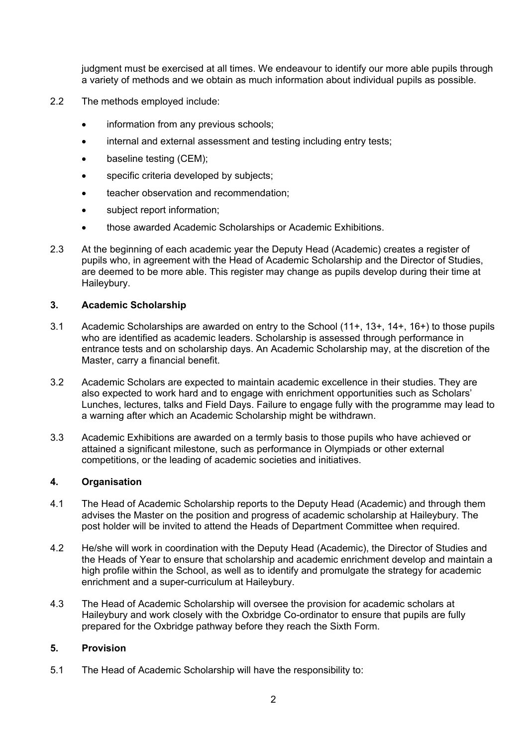judgment must be exercised at all times. We endeavour to identify our more able pupils through a variety of methods and we obtain as much information about individual pupils as possible.

- 2.2 The methods employed include:
	- information from any previous schools;
	- internal and external assessment and testing including entry tests;
	- baseline testing (CEM);
	- specific criteria developed by subjects;
	- teacher observation and recommendation;
	- subject report information;
	- those awarded Academic Scholarships or Academic Exhibitions.
- 2.3 At the beginning of each academic year the Deputy Head (Academic) creates a register of pupils who, in agreement with the Head of Academic Scholarship and the Director of Studies, are deemed to be more able. This register may change as pupils develop during their time at Haileybury.

#### **3. Academic Scholarship**

- 3.1 Academic Scholarships are awarded on entry to the School (11+, 13+, 14+, 16+) to those pupils who are identified as academic leaders. Scholarship is assessed through performance in entrance tests and on scholarship days. An Academic Scholarship may, at the discretion of the Master, carry a financial benefit.
- 3.2 Academic Scholars are expected to maintain academic excellence in their studies. They are also expected to work hard and to engage with enrichment opportunities such as Scholars' Lunches, lectures, talks and Field Days. Failure to engage fully with the programme may lead to a warning after which an Academic Scholarship might be withdrawn.
- 3.3 Academic Exhibitions are awarded on a termly basis to those pupils who have achieved or attained a significant milestone, such as performance in Olympiads or other external competitions, or the leading of academic societies and initiatives.

#### **4. Organisation**

- 4.1 The Head of Academic Scholarship reports to the Deputy Head (Academic) and through them advises the Master on the position and progress of academic scholarship at Haileybury. The post holder will be invited to attend the Heads of Department Committee when required.
- 4.2 He/she will work in coordination with the Deputy Head (Academic), the Director of Studies and the Heads of Year to ensure that scholarship and academic enrichment develop and maintain a high profile within the School, as well as to identify and promulgate the strategy for academic enrichment and a super-curriculum at Haileybury.
- 4.3 The Head of Academic Scholarship will oversee the provision for academic scholars at Haileybury and work closely with the Oxbridge Co-ordinator to ensure that pupils are fully prepared for the Oxbridge pathway before they reach the Sixth Form.

## **5. Provision**

5.1 The Head of Academic Scholarship will have the responsibility to: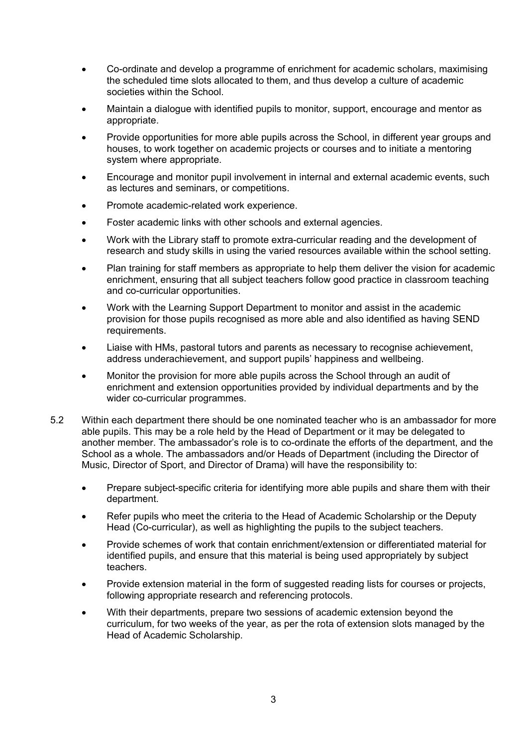- Co-ordinate and develop a programme of enrichment for academic scholars, maximising the scheduled time slots allocated to them, and thus develop a culture of academic societies within the School.
- Maintain a dialogue with identified pupils to monitor, support, encourage and mentor as appropriate.
- Provide opportunities for more able pupils across the School, in different year groups and houses, to work together on academic projects or courses and to initiate a mentoring system where appropriate.
- Encourage and monitor pupil involvement in internal and external academic events, such as lectures and seminars, or competitions.
- Promote academic-related work experience.
- Foster academic links with other schools and external agencies.
- Work with the Library staff to promote extra-curricular reading and the development of research and study skills in using the varied resources available within the school setting.
- Plan training for staff members as appropriate to help them deliver the vision for academic enrichment, ensuring that all subject teachers follow good practice in classroom teaching and co-curricular opportunities.
- Work with the Learning Support Department to monitor and assist in the academic provision for those pupils recognised as more able and also identified as having SEND requirements.
- Liaise with HMs, pastoral tutors and parents as necessary to recognise achievement, address underachievement, and support pupils' happiness and wellbeing.
- Monitor the provision for more able pupils across the School through an audit of enrichment and extension opportunities provided by individual departments and by the wider co-curricular programmes.
- 5.2 Within each department there should be one nominated teacher who is an ambassador for more able pupils. This may be a role held by the Head of Department or it may be delegated to another member. The ambassador's role is to co-ordinate the efforts of the department, and the School as a whole. The ambassadors and/or Heads of Department (including the Director of Music, Director of Sport, and Director of Drama) will have the responsibility to:
	- Prepare subject-specific criteria for identifying more able pupils and share them with their department.
	- Refer pupils who meet the criteria to the Head of Academic Scholarship or the Deputy Head (Co-curricular), as well as highlighting the pupils to the subject teachers.
	- Provide schemes of work that contain enrichment/extension or differentiated material for identified pupils, and ensure that this material is being used appropriately by subject teachers.
	- Provide extension material in the form of suggested reading lists for courses or projects, following appropriate research and referencing protocols.
	- With their departments, prepare two sessions of academic extension beyond the curriculum, for two weeks of the year, as per the rota of extension slots managed by the Head of Academic Scholarship.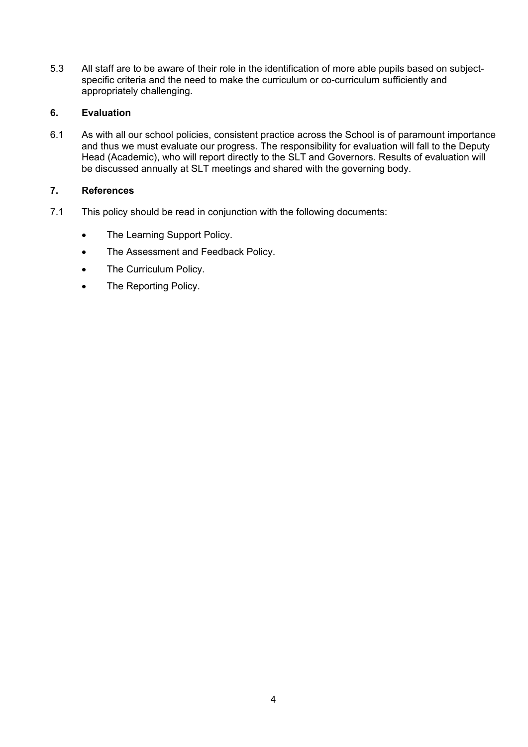5.3 All staff are to be aware of their role in the identification of more able pupils based on subjectspecific criteria and the need to make the curriculum or co-curriculum sufficiently and appropriately challenging.

#### **6. Evaluation**

6.1 As with all our school policies, consistent practice across the School is of paramount importance and thus we must evaluate our progress. The responsibility for evaluation will fall to the Deputy Head (Academic), who will report directly to the SLT and Governors. Results of evaluation will be discussed annually at SLT meetings and shared with the governing body.

## **7. References**

- 7.1 This policy should be read in conjunction with the following documents:
	- The Learning Support Policy.
	- The Assessment and Feedback Policy.
	- The Curriculum Policy.
	- The Reporting Policy.